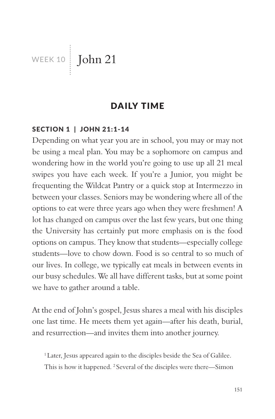WEEK 10 **John 21** 

### DAILY TIME

#### SECTION 1 | JOHN 21:1-14

Depending on what year you are in school, you may or may not be using a meal plan. You may be a sophomore on campus and wondering how in the world you're going to use up all 21 meal swipes you have each week. If you're a Junior, you might be frequenting the Wildcat Pantry or a quick stop at Intermezzo in between your classes. Seniors may be wondering where all of the options to eat were three years ago when they were freshmen! A lot has changed on campus over the last few years, but one thing the University has certainly put more emphasis on is the food options on campus. They know that students—especially college students—love to chow down. Food is so central to so much of our lives. In college, we typically eat meals in between events in our busy schedules. We all have different tasks, but at some point we have to gather around a table.

At the end of John's gospel, Jesus shares a meal with his disciples one last time. He meets them yet again—after his death, burial, and resurrection—and invites them into another journey.

<sup>1</sup> Later, Jesus appeared again to the disciples beside the Sea of Galilee. This is how it happened. <sup>2</sup> Several of the disciples were there—Simon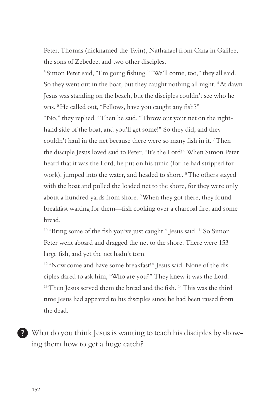Peter, Thomas (nicknamed the Twin), Nathanael from Cana in Galilee, the sons of Zebedee, and two other disciples.

3 Simon Peter said, "I'm going fishing." "We'll come, too," they all said. So they went out in the boat, but they caught nothing all night. <sup>4</sup>At dawn Jesus was standing on the beach, but the disciples couldn't see who he was. 5 He called out, "Fellows, have you caught any fish?" "No," they replied. 6 Then he said, "Throw out your net on the righthand side of the boat, and you'll get some!" So they did, and they couldn't haul in the net because there were so many fish in it. <sup>7</sup> Then the disciple Jesus loved said to Peter, "It's the Lord!" When Simon Peter heard that it was the Lord, he put on his tunic (for he had stripped for work), jumped into the water, and headed to shore. 8 The others stayed with the boat and pulled the loaded net to the shore, for they were only about a hundred yards from shore. <sup>9</sup>When they got there, they found breakfast waiting for them—fish cooking over a charcoal fire, and some bread.

<sup>10</sup> "Bring some of the fish you've just caught," Jesus said. <sup>11</sup> So Simon Peter went aboard and dragged the net to the shore. There were 153 large fish, and yet the net hadn't torn.

<sup>12</sup> "Now come and have some breakfast!" Jesus said. None of the disciples dared to ask him, "Who are you?" They knew it was the Lord. <sup>13</sup> Then Jesus served them the bread and the fish. <sup>14</sup> This was the third time Jesus had appeared to his disciples since he had been raised from the dead.

What do you think Jesus is wanting to teach his disciples by showing them how to get a huge catch?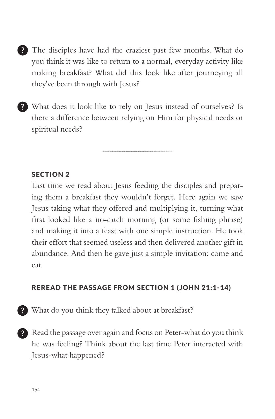- The disciples have had the craziest past few months. What do you think it was like to return to a normal, everyday activity like making breakfast? What did this look like after journeying all they've been through with Jesus?
- What does it look like to rely on Jesus instead of ourselves? Is there a difference between relying on Him for physical needs or spiritual needs?

### SECTION 2

Last time we read about Jesus feeding the disciples and preparing them a breakfast they wouldn't forget. Here again we saw Jesus taking what they offered and multiplying it, turning what first looked like a no-catch morning (or some fishing phrase) and making it into a feast with one simple instruction. He took their effort that seemed useless and then delivered another gift in abundance. And then he gave just a simple invitation: come and eat.

#### REREAD THE PASSAGE FROM SECTION 1 (JOHN 21:1-14)

- What do you think they talked about at breakfast?
- Read the passage over again and focus on Peter-what do you think he was feeling? Think about the last time Peter interacted with Jesus-what happened?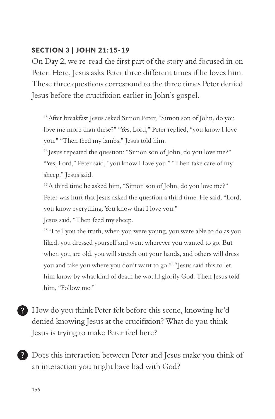### SECTION 3 | JOHN 21:15-19

On Day 2, we re-read the first part of the story and focused in on Peter. Here, Jesus asks Peter three different times if he loves him. These three questions correspond to the three times Peter denied Jesus before the crucifixion earlier in John's gospel.

15 After breakfast Jesus asked Simon Peter, "Simon son of John, do you love me more than these?" "Yes, Lord," Peter replied, "you know I love you." "Then feed my lambs," Jesus told him.

<sup>16</sup> Jesus repeated the question: "Simon son of John, do you love me?" "Yes, Lord," Peter said, "you know I love you." "Then take care of my sheep," Jesus said.

<sup>17</sup> A third time he asked him, "Simon son of John, do you love me?" Peter was hurt that Jesus asked the question a third time. He said, "Lord, you know everything. You know that I love you."

Jesus said, "Then feed my sheep.

<sup>18</sup> "I tell you the truth, when you were young, you were able to do as you liked; you dressed yourself and went wherever you wanted to go. But when you are old, you will stretch out your hands, and others will dress you and take you where you don't want to go." 19 Jesus said this to let him know by what kind of death he would glorify God. Then Jesus told him, "Follow me."

How do you think Peter felt before this scene, knowing he'd denied knowing Jesus at the crucifixion? What do you think Jesus is trying to make Peter feel here?

Does this interaction between Peter and Jesus make you think of an interaction you might have had with God?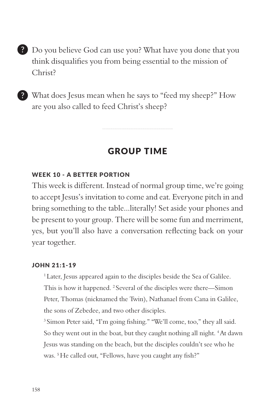Do you believe God can use you? What have you done that you think disqualifies you from being essential to the mission of Christ?

What does Jesus mean when he says to "feed my sheep?" How are you also called to feed Christ's sheep?

## GROUP TIME

#### WEEK 10 - A BETTER PORTION

This week is different. Instead of normal group time, we're going to accept Jesus's invitation to come and eat. Everyone pitch in and bring something to the table...literally! Set aside your phones and be present to your group. There will be some fun and merriment, yes, but you'll also have a conversation reflecting back on your year together.

#### JOHN 21:1-19

<sup>1</sup> Later, Jesus appeared again to the disciples beside the Sea of Galilee. This is how it happened. <sup>2</sup> Several of the disciples were there—Simon Peter, Thomas (nicknamed the Twin), Nathanael from Cana in Galilee, the sons of Zebedee, and two other disciples.

3 Simon Peter said, "I'm going fishing." "We'll come, too," they all said. So they went out in the boat, but they caught nothing all night. 4 At dawn Jesus was standing on the beach, but the disciples couldn't see who he was. 5 He called out, "Fellows, have you caught any fish?"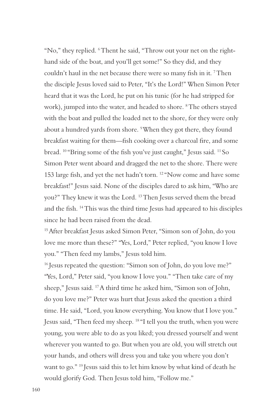"No," they replied. 6 Thent he said, "Throw out your net on the righthand side of the boat, and you'll get some!" So they did, and they couldn't haul in the net because there were so many fish in it. <sup>7</sup> Then the disciple Jesus loved said to Peter, "It's the Lord!" When Simon Peter heard that it was the Lord, he put on his tunic (for he had stripped for work), jumped into the water, and headed to shore. <sup>8</sup>The others stayed with the boat and pulled the loaded net to the shore, for they were only about a hundred yards from shore. <sup>9</sup>When they got there, they found breakfast waiting for them—fish cooking over a charcoal fire, and some bread. 10 "Bring some of the fish you've just caught," Jesus said. 11 So Simon Peter went aboard and dragged the net to the shore. There were 153 large fish, and yet the net hadn't torn. 12 "Now come and have some breakfast!" Jesus said. None of the disciples dared to ask him, "Who are you?" They knew it was the Lord. 13 Then Jesus served them the bread and the fish. 14 This was the third time Jesus had appeared to his disciples since he had been raised from the dead.

<sup>15</sup> After breakfast Jesus asked Simon Peter, "Simon son of John, do you love me more than these?" "Yes, Lord," Peter replied, "you know I love you." "Then feed my lambs," Jesus told him.

<sup>16</sup> Jesus repeated the question: "Simon son of John, do you love me?" "Yes, Lord," Peter said, "you know I love you." "Then take care of my sheep," Jesus said. 17 A third time he asked him, "Simon son of John, do you love me?" Peter was hurt that Jesus asked the question a third time. He said, "Lord, you know everything. You know that I love you." Jesus said, "Then feed my sheep. 18 "I tell you the truth, when you were young, you were able to do as you liked; you dressed yourself and went wherever you wanted to go. But when you are old, you will stretch out your hands, and others will dress you and take you where you don't want to go." 19 Jesus said this to let him know by what kind of death he would glorify God. Then Jesus told him, "Follow me."